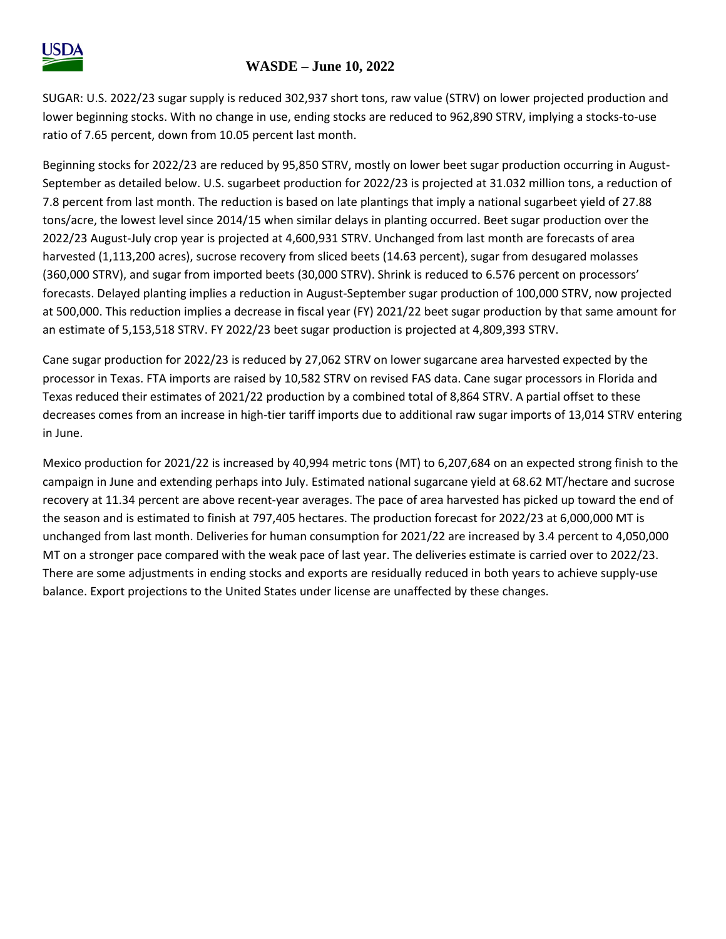

## **WASDE – June 10, 2022**

SUGAR: U.S. 2022/23 sugar supply is reduced 302,937 short tons, raw value (STRV) on lower projected production and lower beginning stocks. With no change in use, ending stocks are reduced to 962,890 STRV, implying a stocks-to-use ratio of 7.65 percent, down from 10.05 percent last month.

Beginning stocks for 2022/23 are reduced by 95,850 STRV, mostly on lower beet sugar production occurring in August-September as detailed below. U.S. sugarbeet production for 2022/23 is projected at 31.032 million tons, a reduction of 7.8 percent from last month. The reduction is based on late plantings that imply a national sugarbeet yield of 27.88 tons/acre, the lowest level since 2014/15 when similar delays in planting occurred. Beet sugar production over the 2022/23 August-July crop year is projected at 4,600,931 STRV. Unchanged from last month are forecasts of area harvested (1,113,200 acres), sucrose recovery from sliced beets (14.63 percent), sugar from desugared molasses (360,000 STRV), and sugar from imported beets (30,000 STRV). Shrink is reduced to 6.576 percent on processors' forecasts. Delayed planting implies a reduction in August-September sugar production of 100,000 STRV, now projected at 500,000. This reduction implies a decrease in fiscal year (FY) 2021/22 beet sugar production by that same amount for an estimate of 5,153,518 STRV. FY 2022/23 beet sugar production is projected at 4,809,393 STRV.

Cane sugar production for 2022/23 is reduced by 27,062 STRV on lower sugarcane area harvested expected by the processor in Texas. FTA imports are raised by 10,582 STRV on revised FAS data. Cane sugar processors in Florida and Texas reduced their estimates of 2021/22 production by a combined total of 8,864 STRV. A partial offset to these decreases comes from an increase in high-tier tariff imports due to additional raw sugar imports of 13,014 STRV entering in June.

Mexico production for 2021/22 is increased by 40,994 metric tons (MT) to 6,207,684 on an expected strong finish to the campaign in June and extending perhaps into July. Estimated national sugarcane yield at 68.62 MT/hectare and sucrose recovery at 11.34 percent are above recent-year averages. The pace of area harvested has picked up toward the end of the season and is estimated to finish at 797,405 hectares. The production forecast for 2022/23 at 6,000,000 MT is unchanged from last month. Deliveries for human consumption for 2021/22 are increased by 3.4 percent to 4,050,000 MT on a stronger pace compared with the weak pace of last year. The deliveries estimate is carried over to 2022/23. There are some adjustments in ending stocks and exports are residually reduced in both years to achieve supply-use balance. Export projections to the United States under license are unaffected by these changes.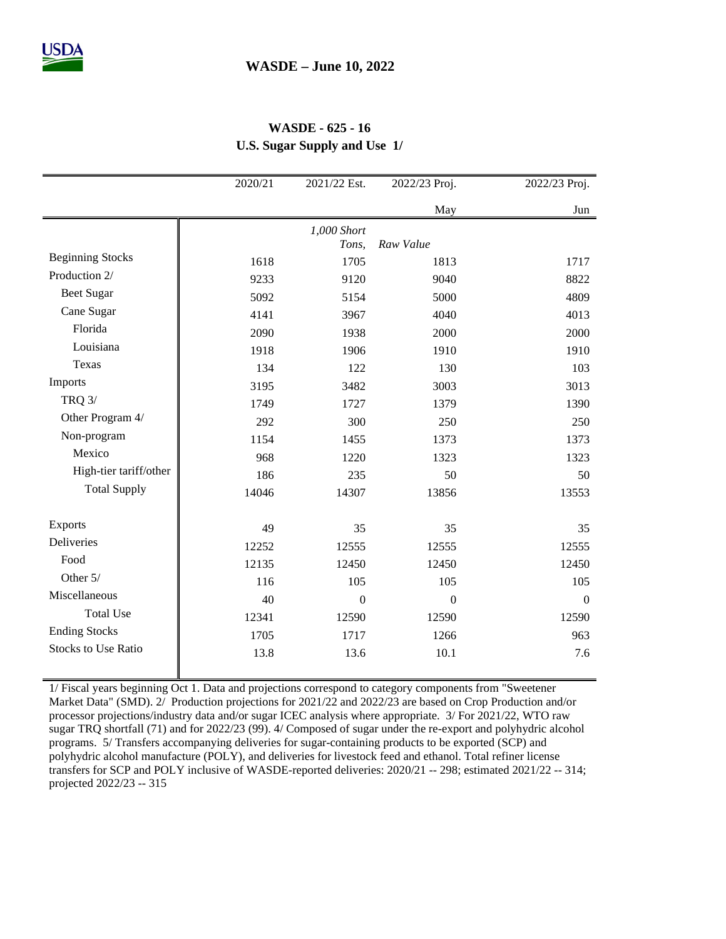## **WASDE - 625 - 16 U.S. Sugar Supply and Use 1/**

|                            | 2020/21 | 2021/22 Est.   | 2022/23 Proj.    | 2022/23 Proj.    |
|----------------------------|---------|----------------|------------------|------------------|
|                            |         |                | May              | Jun              |
|                            |         | 1,000 Short    |                  |                  |
|                            |         | Tons,          | Raw Value        |                  |
| <b>Beginning Stocks</b>    | 1618    | 1705           | 1813             | 1717             |
| Production 2/              | 9233    | 9120           | 9040             | 8822             |
| <b>Beet Sugar</b>          | 5092    | 5154           | 5000             | 4809             |
| Cane Sugar                 | 4141    | 3967           | 4040             | 4013             |
| Florida                    | 2090    | 1938           | 2000             | 2000             |
| Louisiana                  | 1918    | 1906           | 1910             | 1910             |
| Texas                      | 134     | 122            | 130              | 103              |
| Imports                    | 3195    | 3482           | 3003             | 3013             |
| <b>TRQ 3/</b>              | 1749    | 1727           | 1379             | 1390             |
| Other Program 4/           | 292     | 300            | 250              | 250              |
| Non-program                | 1154    | 1455           | 1373             | 1373             |
| Mexico                     | 968     | 1220           | 1323             | 1323             |
| High-tier tariff/other     | 186     | 235            | 50               | 50               |
| <b>Total Supply</b>        | 14046   | 14307          | 13856            | 13553            |
|                            |         |                |                  |                  |
| <b>Exports</b>             | 49      | 35             | 35               | 35               |
| Deliveries                 | 12252   | 12555          | 12555            | 12555            |
| Food                       | 12135   | 12450          | 12450            | 12450            |
| Other 5/                   | 116     | 105            | 105              | 105              |
| Miscellaneous              | 40      | $\overline{0}$ | $\boldsymbol{0}$ | $\boldsymbol{0}$ |
| <b>Total Use</b>           | 12341   | 12590          | 12590            | 12590            |
| <b>Ending Stocks</b>       | 1705    | 1717           | 1266             | 963              |
| <b>Stocks to Use Ratio</b> | 13.8    | 13.6           | 10.1             | 7.6              |
|                            |         |                |                  |                  |

1/ Fiscal years beginning Oct 1. Data and projections correspond to category components from "Sweetener Market Data" (SMD). 2/ Production projections for 2021/22 and 2022/23 are based on Crop Production and/or processor projections/industry data and/or sugar ICEC analysis where appropriate. 3/ For 2021/22, WTO raw sugar TRQ shortfall (71) and for 2022/23 (99). 4/ Composed of sugar under the re-export and polyhydric alcohol programs. 5/ Transfers accompanying deliveries for sugar-containing products to be exported (SCP) and polyhydric alcohol manufacture (POLY), and deliveries for livestock feed and ethanol. Total refiner license transfers for SCP and POLY inclusive of WASDE-reported deliveries: 2020/21 -- 298; estimated 2021/22 -- 314; projected 2022/23 -- 315